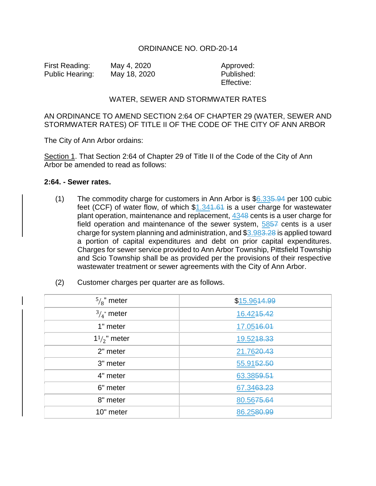## ORDINANCE NO. ORD-20-14

First Reading: May 4, 2020 Approved: Public Hearing: May 18, 2020 Published:

Effective:

## WATER, SEWER AND STORMWATER RATES

## AN ORDINANCE TO AMEND SECTION 2:64 OF CHAPTER 29 (WATER, SEWER AND STORMWATER RATES) OF TITLE II OF THE CODE OF THE CITY OF ANN ARBOR

The City of Ann Arbor ordains:

Section 1. That Section 2:64 of Chapter 29 of Title II of the Code of the City of Ann Arbor be amended to read as follows:

## **2:64. - Sewer rates.**

(1) The commodity charge for customers in Ann Arbor is  $$6.335.94$  per 100 cubic feet (CCF) of water flow, of which  $$1.341.64$  is a user charge for wastewater plant operation, maintenance and replacement, 4348 cents is a user charge for field operation and maintenance of the sewer system, 5857 cents is a user charge for system planning and administration, and \$3.983.28 is applied toward a portion of capital expenditures and debt on prior capital expenditures. Charges for sewer service provided to Ann Arbor Township, Pittsfield Township and Scio Township shall be as provided per the provisions of their respective wastewater treatment or sewer agreements with the City of Ann Arbor.

| (2) |  |  |  |  |  | Customer charges per quarter are as follows. |
|-----|--|--|--|--|--|----------------------------------------------|
|-----|--|--|--|--|--|----------------------------------------------|

| $\frac{5}{8}$ " meter  | \$15.9644.99 |
|------------------------|--------------|
| $\frac{3}{4}$ " meter  | 16.4245.42   |
| 1" meter               | 17.0546.01   |
| $1\frac{1}{2}$ " meter | 19.5248.33   |
| 2" meter               | 21.7620.43   |
| 3" meter               | 55.9152.50   |
| 4" meter               | 63.3859.51   |
| 6" meter               | 67.3463.23   |
| 8" meter               | 80.5675.64   |
| 10" meter              | 86.2580.99   |